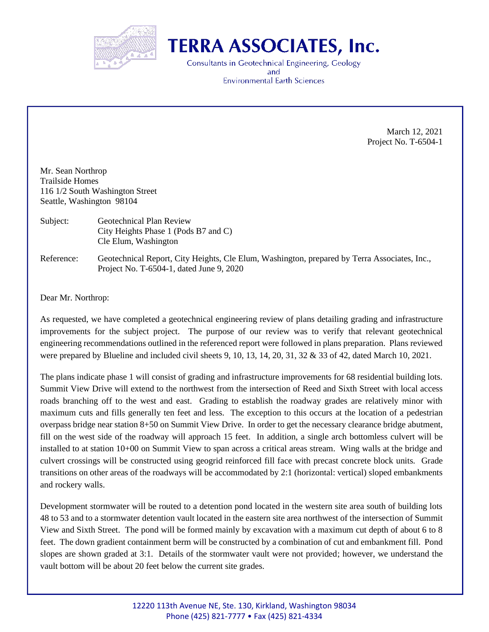

## **TERRA ASSOCIATES, Inc.**

Consultants in Geotechnical Engineering, Geology and **Environmental Earth Sciences** 

> March 12, 2021 Project No. T-6504-1

Mr. Sean Northrop Trailside Homes 116 1/2 South Washington Street Seattle, Washington 98104

- Subject: Geotechnical Plan Review City Heights Phase 1 (Pods B7 and C) Cle Elum, Washington
- Reference: Geotechnical Report, City Heights, Cle Elum, Washington, prepared by Terra Associates, Inc., Project No. T-6504-1, dated June 9, 2020

Dear Mr. Northrop:

As requested, we have completed a geotechnical engineering review of plans detailing grading and infrastructure improvements for the subject project. The purpose of our review was to verify that relevant geotechnical engineering recommendations outlined in the referenced report were followed in plans preparation. Plans reviewed were prepared by Blueline and included civil sheets 9, 10, 13, 14, 20, 31, 32 & 33 of 42, dated March 10, 2021.

The plans indicate phase 1 will consist of grading and infrastructure improvements for 68 residential building lots. Summit View Drive will extend to the northwest from the intersection of Reed and Sixth Street with local access roads branching off to the west and east. Grading to establish the roadway grades are relatively minor with maximum cuts and fills generally ten feet and less. The exception to this occurs at the location of a pedestrian overpass bridge near station 8+50 on Summit View Drive. In order to get the necessary clearance bridge abutment, fill on the west side of the roadway will approach 15 feet. In addition, a single arch bottomless culvert will be installed to at station 10+00 on Summit View to span across a critical areas stream. Wing walls at the bridge and culvert crossings will be constructed using geogrid reinforced fill face with precast concrete block units. Grade transitions on other areas of the roadways will be accommodated by 2:1 (horizontal: vertical) sloped embankments and rockery walls.

Development stormwater will be routed to a detention pond located in the western site area south of building lots 48 to 53 and to a stormwater detention vault located in the eastern site area northwest of the intersection of Summit View and Sixth Street. The pond will be formed mainly by excavation with a maximum cut depth of about 6 to 8 feet. The down gradient containment berm will be constructed by a combination of cut and embankment fill. Pond slopes are shown graded at 3:1. Details of the stormwater vault were not provided; however, we understand the vault bottom will be about 20 feet below the current site grades.